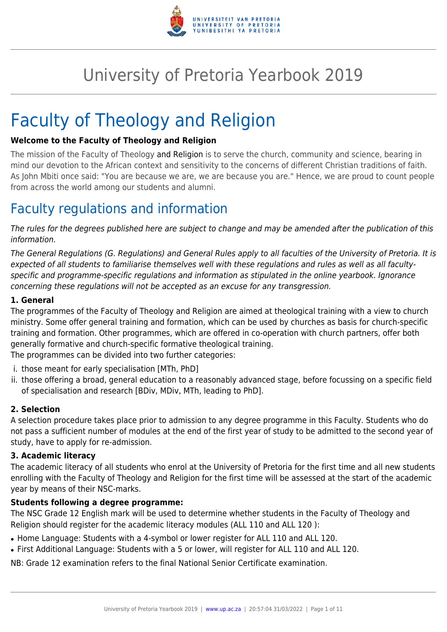

# University of Pretoria Yearbook 2019

# Faculty of Theology and Religion

#### **Welcome to the Faculty of Theology and Religion**

The mission of the Faculty of Theology and Religion is to serve the church, community and science, bearing in mind our devotion to the African context and sensitivity to the concerns of different Christian traditions of faith. As John Mbiti once said: "You are because we are, we are because you are." Hence, we are proud to count people from across the world among our students and alumni.

## Faculty regulations and information

The rules for the degrees published here are subject to change and may be amended after the publication of this information.

The General Regulations (G. Regulations) and General Rules apply to all faculties of the University of Pretoria. It is expected of all students to familiarise themselves well with these regulations and rules as well as all facultyspecific and programme-specific regulations and information as stipulated in the online yearbook. Ignorance concerning these regulations will not be accepted as an excuse for any transgression.

#### **1. General**

The programmes of the Faculty of Theology and Religion are aimed at theological training with a view to church ministry. Some offer general training and formation, which can be used by churches as basis for church-specific training and formation. Other programmes, which are offered in co-operation with church partners, offer both generally formative and church-specific formative theological training.

The programmes can be divided into two further categories:

- i. those meant for early specialisation [MTh, PhD]
- ii. those offering a broad, general education to a reasonably advanced stage, before focussing on a specific field of specialisation and research [BDiv, MDiv, MTh, leading to PhD].

#### **2. Selection**

A selection procedure takes place prior to admission to any degree programme in this Faculty. Students who do not pass a sufficient number of modules at the end of the first year of study to be admitted to the second year of study, have to apply for re-admission.

#### **3. Academic literacy**

The academic literacy of all students who enrol at the University of Pretoria for the first time and all new students enrolling with the Faculty of Theology and Religion for the first time will be assessed at the start of the academic year by means of their NSC-marks.

#### **Students following a degree programme:**

The NSC Grade 12 English mark will be used to determine whether students in the Faculty of Theology and Religion should register for the academic literacy modules (ALL 110 and ALL 120 ):

- Home Language: Students with a 4-symbol or lower register for ALL 110 and ALL 120.
- First Additional Language: Students with a 5 or lower, will register for ALL 110 and ALL 120.

NB: Grade 12 examination refers to the final National Senior Certificate examination.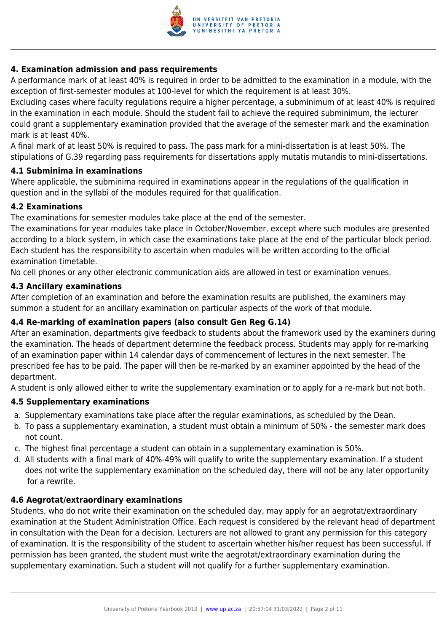

#### **4. Examination admission and pass requirements**

A performance mark of at least 40% is required in order to be admitted to the examination in a module, with the exception of first-semester modules at 100-level for which the requirement is at least 30%.

Excluding cases where faculty regulations require a higher percentage, a subminimum of at least 40% is required in the examination in each module. Should the student fail to achieve the required subminimum, the lecturer could grant a supplementary examination provided that the average of the semester mark and the examination mark is at least 40%.

A final mark of at least 50% is required to pass. The pass mark for a mini-dissertation is at least 50%. The stipulations of G.39 regarding pass requirements for dissertations apply mutatis mutandis to mini-dissertations.

#### **4.1 Subminima in examinations**

Where applicable, the subminima required in examinations appear in the regulations of the qualification in question and in the syllabi of the modules required for that qualification.

#### **4.2 Examinations**

The examinations for semester modules take place at the end of the semester.

The examinations for year modules take place in October/November, except where such modules are presented according to a block system, in which case the examinations take place at the end of the particular block period. Each student has the responsibility to ascertain when modules will be written according to the official examination timetable.

No cell phones or any other electronic communication aids are allowed in test or examination venues.

#### **4.3 Ancillary examinations**

After completion of an examination and before the examination results are published, the examiners may summon a student for an ancillary examination on particular aspects of the work of that module.

#### **4.4 Re-marking of examination papers (also consult Gen Reg G.14)**

After an examination, departments give feedback to students about the framework used by the examiners during the examination. The heads of department determine the feedback process. Students may apply for re-marking of an examination paper within 14 calendar days of commencement of lectures in the next semester. The prescribed fee has to be paid. The paper will then be re-marked by an examiner appointed by the head of the department.

A student is only allowed either to write the supplementary examination or to apply for a re-mark but not both.

#### **4.5 Supplementary examinations**

- a. Supplementary examinations take place after the regular examinations, as scheduled by the Dean.
- b. To pass a supplementary examination, a student must obtain a minimum of 50% the semester mark does not count.
- c. The highest final percentage a student can obtain in a supplementary examination is 50%.
- d. All students with a final mark of 40%-49% will qualify to write the supplementary examination. If a student does not write the supplementary examination on the scheduled day, there will not be any later opportunity for a rewrite.

#### **4.6 Aegrotat/extraordinary examinations**

Students, who do not write their examination on the scheduled day, may apply for an aegrotat/extraordinary examination at the Student Administration Office. Each request is considered by the relevant head of department in consultation with the Dean for a decision. Lecturers are not allowed to grant any permission for this category of examination. It is the responsibility of the student to ascertain whether his/her request has been successful. If permission has been granted, the student must write the aegrotat/extraordinary examination during the supplementary examination. Such a student will not qualify for a further supplementary examination.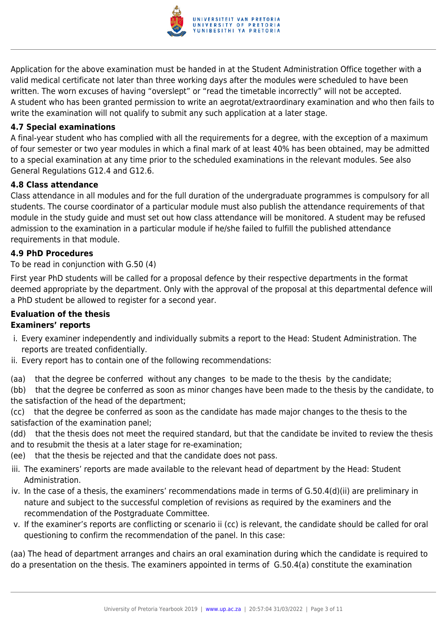

Application for the above examination must be handed in at the Student Administration Office together with a valid medical certificate not later than three working days after the modules were scheduled to have been written. The worn excuses of having "overslept" or "read the timetable incorrectly" will not be accepted. A student who has been granted permission to write an aegrotat/extraordinary examination and who then fails to write the examination will not qualify to submit any such application at a later stage.

#### **4.7 Special examinations**

A final-year student who has complied with all the requirements for a degree, with the exception of a maximum of four semester or two year modules in which a final mark of at least 40% has been obtained, may be admitted to a special examination at any time prior to the scheduled examinations in the relevant modules. See also General Regulations G12.4 and G12.6.

#### **4.8 Class attendance**

Class attendance in all modules and for the full duration of the undergraduate programmes is compulsory for all students. The course coordinator of a particular module must also publish the attendance requirements of that module in the study guide and must set out how class attendance will be monitored. A student may be refused admission to the examination in a particular module if he/she failed to fulfill the published attendance requirements in that module.

#### **4.9 PhD Procedures**

#### To be read in conjunction with G.50 (4)

First year PhD students will be called for a proposal defence by their respective departments in the format deemed appropriate by the department. Only with the approval of the proposal at this departmental defence will a PhD student be allowed to register for a second year.

### **Evaluation of the thesis Examiners' reports**

- i. Every examiner independently and individually submits a report to the Head: Student Administration. The reports are treated confidentially.
- ii. Every report has to contain one of the following recommendations:
- (aa) that the degree be conferred without any changes to be made to the thesis by the candidate;

(bb) that the degree be conferred as soon as minor changes have been made to the thesis by the candidate, to the satisfaction of the head of the department;

(cc) that the degree be conferred as soon as the candidate has made major changes to the thesis to the satisfaction of the examination panel;

(dd) that the thesis does not meet the required standard, but that the candidate be invited to review the thesis and to resubmit the thesis at a later stage for re-examination;

- (ee) that the thesis be rejected and that the candidate does not pass.
- iii. The examiners' reports are made available to the relevant head of department by the Head: Student Administration.
- iv. In the case of a thesis, the examiners' recommendations made in terms of G.50.4(d)(ii) are preliminary in nature and subject to the successful completion of revisions as required by the examiners and the recommendation of the Postgraduate Committee.
- v. If the examiner's reports are conflicting or scenario ii (cc) is relevant, the candidate should be called for oral questioning to confirm the recommendation of the panel. In this case:

(aa) The head of department arranges and chairs an oral examination during which the candidate is required to do a presentation on the thesis. The examiners appointed in terms of G.50.4(a) constitute the examination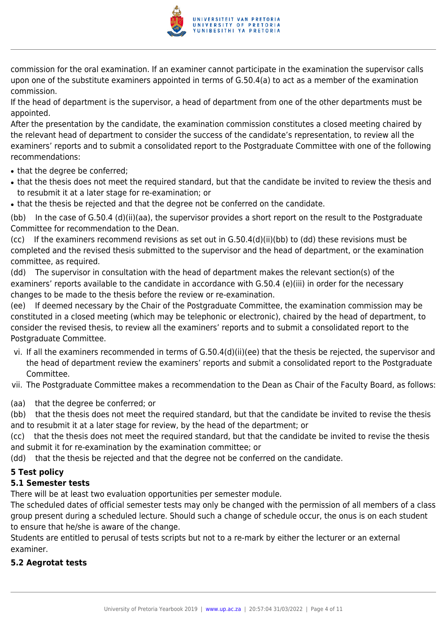

commission for the oral examination. If an examiner cannot participate in the examination the supervisor calls upon one of the substitute examiners appointed in terms of G.50.4(a) to act as a member of the examination commission.

If the head of department is the supervisor, a head of department from one of the other departments must be appointed.

After the presentation by the candidate, the examination commission constitutes a closed meeting chaired by the relevant head of department to consider the success of the candidate's representation, to review all the examiners' reports and to submit a consolidated report to the Postgraduate Committee with one of the following recommendations:

- that the degree be conferred;
- that the thesis does not meet the required standard, but that the candidate be invited to review the thesis and to resubmit it at a later stage for re-examination; or
- that the thesis be rejected and that the degree not be conferred on the candidate.

(bb) In the case of G.50.4 (d)(ii)(aa), the supervisor provides a short report on the result to the Postgraduate Committee for recommendation to the Dean.

(cc) If the examiners recommend revisions as set out in G.50.4(d)(ii)(bb) to (dd) these revisions must be completed and the revised thesis submitted to the supervisor and the head of department, or the examination committee, as required.

(dd) The supervisor in consultation with the head of department makes the relevant section(s) of the examiners' reports available to the candidate in accordance with G.50.4 (e)(iii) in order for the necessary changes to be made to the thesis before the review or re-examination.

(ee) If deemed necessary by the Chair of the Postgraduate Committee, the examination commission may be constituted in a closed meeting (which may be telephonic or electronic), chaired by the head of department, to consider the revised thesis, to review all the examiners' reports and to submit a consolidated report to the Postgraduate Committee.

vi. If all the examiners recommended in terms of G.50.4(d)(ii)(ee) that the thesis be rejected, the supervisor and the head of department review the examiners' reports and submit a consolidated report to the Postgraduate Committee.

vii. The Postgraduate Committee makes a recommendation to the Dean as Chair of the Faculty Board, as follows:

(aa) that the degree be conferred; or

(bb) that the thesis does not meet the required standard, but that the candidate be invited to revise the thesis and to resubmit it at a later stage for review, by the head of the department; or

(cc) that the thesis does not meet the required standard, but that the candidate be invited to revise the thesis and submit it for re-examination by the examination committee; or

(dd) that the thesis be rejected and that the degree not be conferred on the candidate.

### **5 Test policy**

### **5.1 Semester tests**

There will be at least two evaluation opportunities per semester module.

The scheduled dates of official semester tests may only be changed with the permission of all members of a class group present during a scheduled lecture. Should such a change of schedule occur, the onus is on each student to ensure that he/she is aware of the change.

Students are entitled to perusal of tests scripts but not to a re-mark by either the lecturer or an external examiner.

#### **5.2 Aegrotat tests**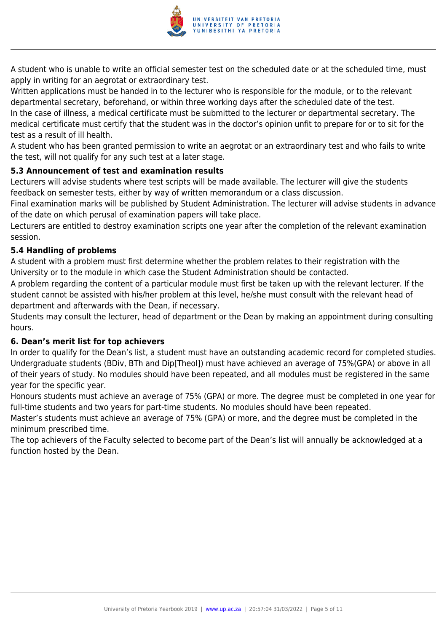

A student who is unable to write an official semester test on the scheduled date or at the scheduled time, must apply in writing for an aegrotat or extraordinary test.

Written applications must be handed in to the lecturer who is responsible for the module, or to the relevant departmental secretary, beforehand, or within three working days after the scheduled date of the test. In the case of illness, a medical certificate must be submitted to the lecturer or departmental secretary. The medical certificate must certify that the student was in the doctor's opinion unfit to prepare for or to sit for the test as a result of ill health.

A student who has been granted permission to write an aegrotat or an extraordinary test and who fails to write the test, will not qualify for any such test at a later stage.

#### **5.3 Announcement of test and examination results**

Lecturers will advise students where test scripts will be made available. The lecturer will give the students feedback on semester tests, either by way of written memorandum or a class discussion.

Final examination marks will be published by Student Administration. The lecturer will advise students in advance of the date on which perusal of examination papers will take place.

Lecturers are entitled to destroy examination scripts one year after the completion of the relevant examination session.

#### **5.4 Handling of problems**

A student with a problem must first determine whether the problem relates to their registration with the University or to the module in which case the Student Administration should be contacted.

A problem regarding the content of a particular module must first be taken up with the relevant lecturer. If the student cannot be assisted with his/her problem at this level, he/she must consult with the relevant head of department and afterwards with the Dean, if necessary.

Students may consult the lecturer, head of department or the Dean by making an appointment during consulting hours.

#### **6. Dean's merit list for top achievers**

In order to qualify for the Dean's list, a student must have an outstanding academic record for completed studies. Undergraduate students (BDiv, BTh and Dip[Theol]) must have achieved an average of 75%(GPA) or above in all of their years of study. No modules should have been repeated, and all modules must be registered in the same year for the specific year.

Honours students must achieve an average of 75% (GPA) or more. The degree must be completed in one year for full-time students and two years for part-time students. No modules should have been repeated.

Master's students must achieve an average of 75% (GPA) or more, and the degree must be completed in the minimum prescribed time.

The top achievers of the Faculty selected to become part of the Dean's list will annually be acknowledged at a function hosted by the Dean.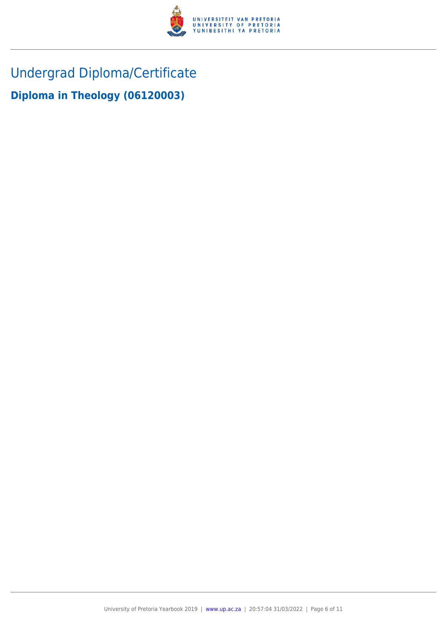

Undergrad Diploma/Certificate

**Diploma in Theology (06120003)**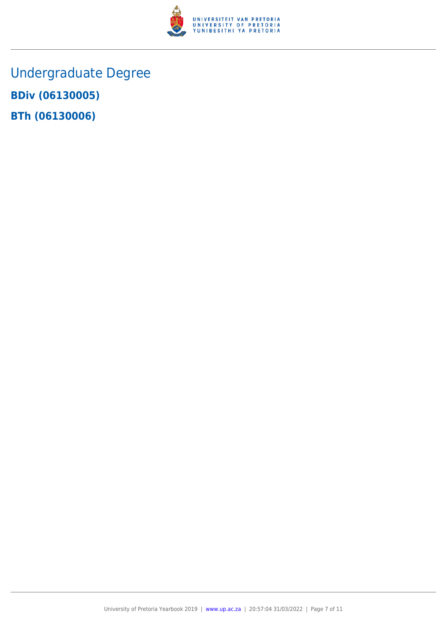

Undergraduate Degree **BDiv (06130005) BTh (06130006)**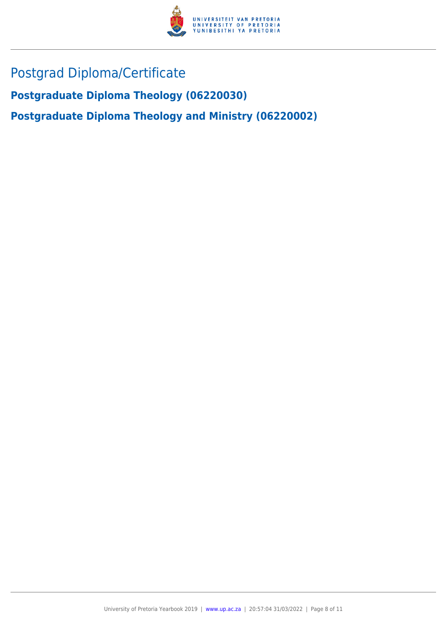

## Postgrad Diploma/Certificate

**Postgraduate Diploma Theology (06220030)**

**Postgraduate Diploma Theology and Ministry (06220002)**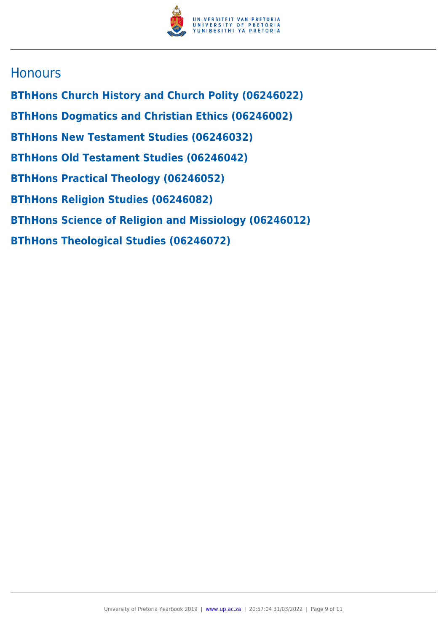

### **Honours**

**BThHons Church History and Church Polity (06246022) BThHons Dogmatics and Christian Ethics (06246002) BThHons New Testament Studies (06246032) BThHons Old Testament Studies (06246042) BThHons Practical Theology (06246052) BThHons Religion Studies (06246082) BThHons Science of Religion and Missiology (06246012) BThHons Theological Studies (06246072)**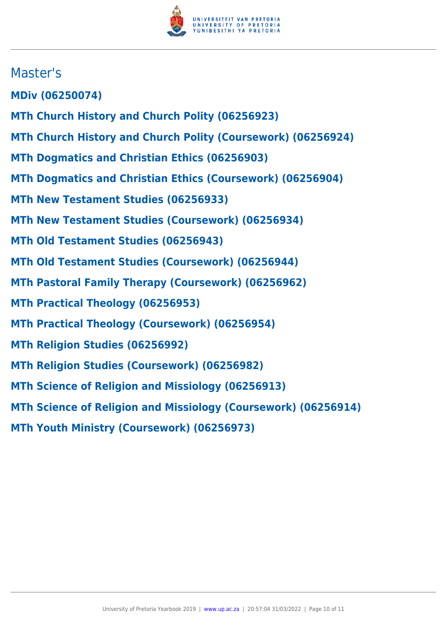

### Master's

**MDiv (06250074)**

- **MTh Church History and Church Polity (06256923)**
- **MTh Church History and Church Polity (Coursework) (06256924)**
- **MTh Dogmatics and Christian Ethics (06256903)**
- **MTh Dogmatics and Christian Ethics (Coursework) (06256904)**
- **MTh New Testament Studies (06256933)**
- **MTh New Testament Studies (Coursework) (06256934)**
- **MTh Old Testament Studies (06256943)**
- **MTh Old Testament Studies (Coursework) (06256944)**
- **MTh Pastoral Family Therapy (Coursework) (06256962)**
- **MTh Practical Theology (06256953)**
- **MTh Practical Theology (Coursework) (06256954)**
- **MTh Religion Studies (06256992)**
- **MTh Religion Studies (Coursework) (06256982)**
- **MTh Science of Religion and Missiology (06256913)**
- **MTh Science of Religion and Missiology (Coursework) (06256914)**
- **MTh Youth Ministry (Coursework) (06256973)**